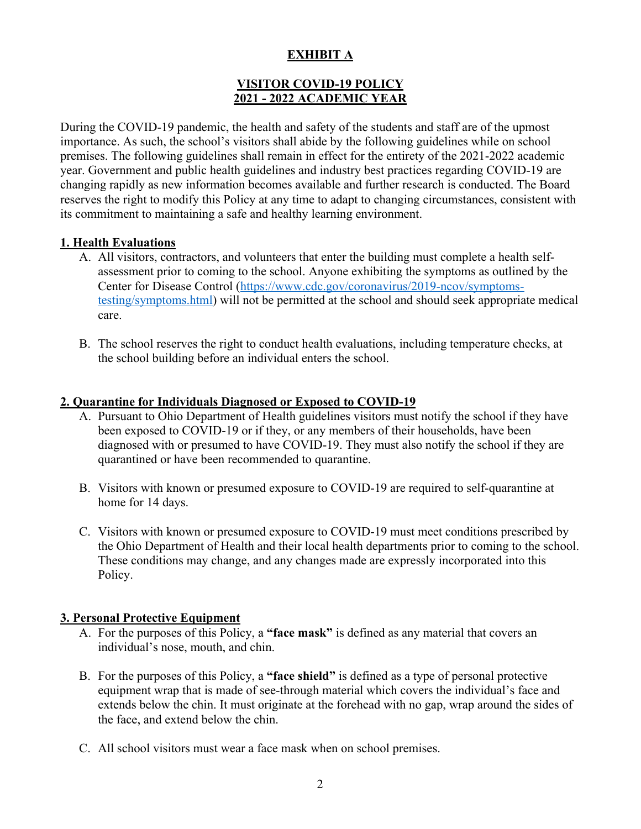# **EXHIBIT A**

## **VISITOR COVID-19 POLICY 2021 - 2022 ACADEMIC YEAR**

During the COVID-19 pandemic, the health and safety of the students and staff are of the upmost importance. As such, the school's visitors shall abide by the following guidelines while on school premises. The following guidelines shall remain in effect for the entirety of the 2021-2022 academic year. Government and public health guidelines and industry best practices regarding COVID-19 are changing rapidly as new information becomes available and further research is conducted. The Board reserves the right to modify this Policy at any time to adapt to changing circumstances, consistent with its commitment to maintaining a safe and healthy learning environment.

#### **1. Health Evaluations**

- A. All visitors, contractors, and volunteers that enter the building must complete a health selfassessment prior to coming to the school. Anyone exhibiting the symptoms as outlined by the Center for Disease Control (https://www.cdc.gov/coronavirus/2019-ncov/symptomstesting/symptoms.html) will not be permitted at the school and should seek appropriate medical care.
- B. The school reserves the right to conduct health evaluations, including temperature checks, at the school building before an individual enters the school.

#### **2. Quarantine for Individuals Diagnosed or Exposed to COVID-19**

- A. Pursuant to Ohio Department of Health guidelines visitors must notify the school if they have been exposed to COVID-19 or if they, or any members of their households, have been diagnosed with or presumed to have COVID-19. They must also notify the school if they are quarantined or have been recommended to quarantine.
- B. Visitors with known or presumed exposure to COVID-19 are required to self-quarantine at home for 14 days.
- C. Visitors with known or presumed exposure to COVID-19 must meet conditions prescribed by the Ohio Department of Health and their local health departments prior to coming to the school. These conditions may change, and any changes made are expressly incorporated into this Policy.

## **3. Personal Protective Equipment**

- A. For the purposes of this Policy, a **"face mask"** is defined as any material that covers an individual's nose, mouth, and chin.
- B. For the purposes of this Policy, a **"face shield"** is defined as a type of personal protective equipment wrap that is made of see-through material which covers the individual's face and extends below the chin. It must originate at the forehead with no gap, wrap around the sides of the face, and extend below the chin.
- C. All school visitors must wear a face mask when on school premises.